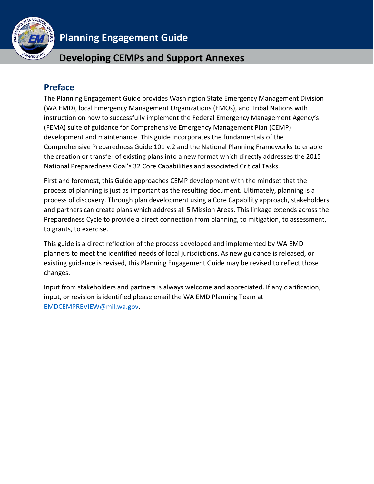

# **Planning Engagement Guide**

# **Developing CEMPs and Support Annexes**

# <span id="page-0-0"></span>**Preface**

The Planning Engagement Guide provides Washington State Emergency Management Division (WA EMD), local Emergency Management Organizations (EMOs), and Tribal Nations with instruction on how to successfully implement the Federal Emergency Management Agency's (FEMA) suite of guidance for Comprehensive Emergency Management Plan (CEMP) development and maintenance. This guide incorporates the fundamentals of the Comprehensive Preparedness Guide 101 v.2 and the National Planning Frameworks to enable the creation or transfer of existing plans into a new format which directly addresses the 2015 National Preparedness Goal's 32 Core Capabilities and associated Critical Tasks.

First and foremost, this Guide approaches CEMP development with the mindset that the process of planning is just as important as the resulting document. Ultimately, planning is a process of discovery. Through plan development using a Core Capability approach, stakeholders and partners can create plans which address all 5 Mission Areas. This linkage extends across the Preparedness Cycle to provide a direct connection from planning, to mitigation, to assessment, to grants, to exercise.

This guide is a direct reflection of the process developed and implemented by WA EMD planners to meet the identified needs of local jurisdictions. As new guidance is released, or existing guidance is revised, this Planning Engagement Guide may be revised to reflect those changes.

Input from stakeholders and partners is always welcome and appreciated. If any clarification, input, or revision is identified please email the WA EMD Planning Team at [EMDCEMPREVIEW@mil.wa.gov.](mailto:EMDCEMPREVIEW@mil.wa.gov)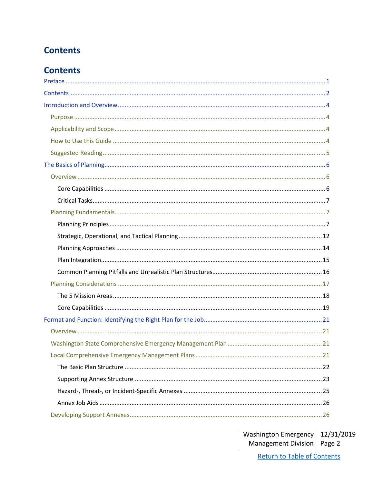# <span id="page-1-0"></span>**Contents**

# **Contents**

Washington Emergency | 12/31/2019<br>Management Division | Page 2 **Return to Table of Contents**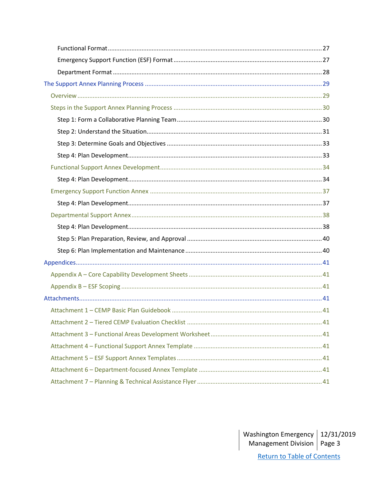<span id="page-2-0"></span>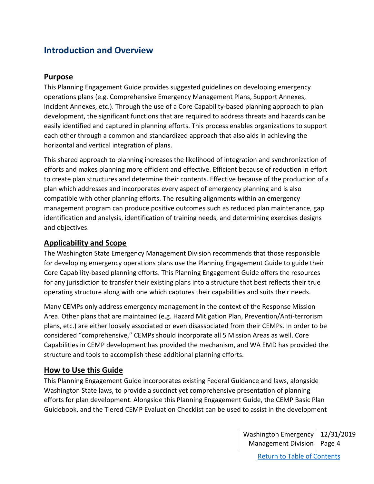# **Introduction and Overview**

# <span id="page-3-0"></span>**Purpose**

This Planning Engagement Guide provides suggested guidelines on developing emergency operations plans (e.g. Comprehensive Emergency Management Plans, Support Annexes, Incident Annexes, etc.). Through the use of a Core Capability-based planning approach to plan development, the significant functions that are required to address threats and hazards can be easily identified and captured in planning efforts. This process enables organizations to support each other through a common and standardized approach that also aids in achieving the horizontal and vertical integration of plans.

This shared approach to planning increases the likelihood of integration and synchronization of efforts and makes planning more efficient and effective. Efficient because of reduction in effort to create plan structures and determine their contents. Effective because of the production of a plan which addresses and incorporates every aspect of emergency planning and is also compatible with other planning efforts. The resulting alignments within an emergency management program can produce positive outcomes such as reduced plan maintenance, gap identification and analysis, identification of training needs, and determining exercises designs and objectives.

# <span id="page-3-1"></span>**Applicability and Scope**

The Washington State Emergency Management Division recommends that those responsible for developing emergency operations plans use the Planning Engagement Guide to guide their Core Capability-based planning efforts. This Planning Engagement Guide offers the resources for any jurisdiction to transfer their existing plans into a structure that best reflects their true operating structure along with one which captures their capabilities and suits their needs.

Many CEMPs only address emergency management in the context of the Response Mission Area. Other plans that are maintained (e.g. Hazard Mitigation Plan, Prevention/Anti-terrorism plans, etc.) are either loosely associated or even disassociated from their CEMPs. In order to be considered "comprehensive," CEMPs should incorporate all 5 Mission Areas as well. Core Capabilities in CEMP development has provided the mechanism, and WA EMD has provided the structure and tools to accomplish these additional planning efforts.

# <span id="page-3-2"></span>**How to Use this Guide**

This Planning Engagement Guide incorporates existing Federal Guidance and laws, alongside Washington State laws, to provide a succinct yet comprehensive presentation of planning efforts for plan development. Alongside this Planning Engagement Guide, the CEMP Basic Plan Guidebook, and the Tiered CEMP Evaluation Checklist can be used to assist in the development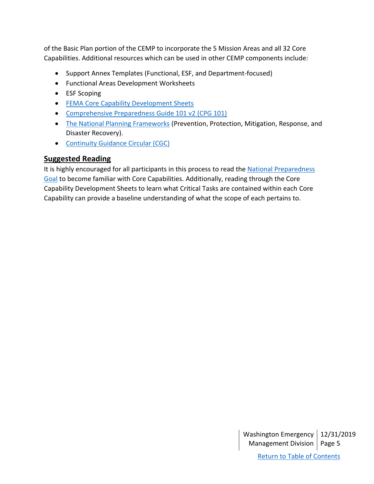of the Basic Plan portion of the CEMP to incorporate the 5 Mission Areas and all 32 Core Capabilities. Additional resources which can be used in other CEMP components include:

- Support Annex Templates (Functional, ESF, and Department-focused)
- Functional Areas Development Worksheets
- ESF Scoping
- FEMA [Core Capability Development Sheets](https://www.fema.gov/media-library/assets/documents/184690)
- [Comprehensive Preparedness Guide 101 v2](https://www.fema.gov/media-library/assets/documents/184690) (CPG 101)
- [The National Planning Frameworks](https://www.fema.gov/national-planning-frameworks) (Prevention, Protection, Mitigation, Response, and Disaster Recovery).
- [Continuity Guidance Circular \(CGC\)](https://www.fema.gov/continuity-guidance-circular-cgc)

# <span id="page-4-0"></span>**Suggested Reading**

It is highly encouraged for all participants in this process to read the National Preparedness [Goal](https://www.fema.gov/national-preparedness-goal) to become familiar with Core Capabilities. Additionally, reading through the Core Capability Development Sheets to learn what Critical Tasks are contained within each Core Capability can provide a baseline understanding of what the scope of each pertains to.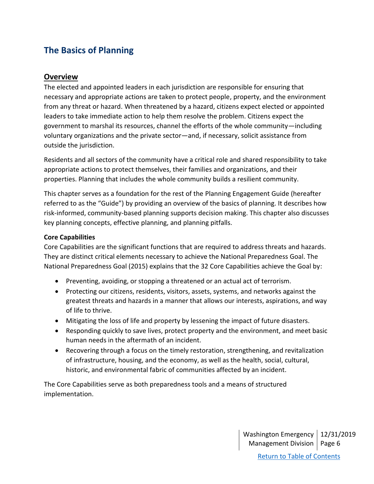# <span id="page-5-0"></span>**The Basics of Planning**

# <span id="page-5-1"></span>**Overview**

The elected and appointed leaders in each jurisdiction are responsible for ensuring that necessary and appropriate actions are taken to protect people, property, and the environment from any threat or hazard. When threatened by a hazard, citizens expect elected or appointed leaders to take immediate action to help them resolve the problem. Citizens expect the government to marshal its resources, channel the efforts of the whole community—including voluntary organizations and the private sector—and, if necessary, solicit assistance from outside the jurisdiction.

Residents and all sectors of the community have a critical role and shared responsibility to take appropriate actions to protect themselves, their families and organizations, and their properties. Planning that includes the whole community builds a resilient community.

This chapter serves as a foundation for the rest of the Planning Engagement Guide (hereafter referred to as the "Guide") by providing an overview of the basics of planning. It describes how risk-informed, community-based planning supports decision making. This chapter also discusses key planning concepts, effective planning, and planning pitfalls.

### <span id="page-5-2"></span>**Core Capabilities**

Core Capabilities are the significant functions that are required to address threats and hazards. They are distinct critical elements necessary to achieve the National Preparedness Goal. The National Preparedness Goal (2015) explains that the 32 Core Capabilities achieve the Goal by:

- Preventing, avoiding, or stopping a threatened or an actual act of terrorism.
- Protecting our citizens, residents, visitors, assets, systems, and networks against the greatest threats and hazards in a manner that allows our interests, aspirations, and way of life to thrive.
- Mitigating the loss of life and property by lessening the impact of future disasters.
- Responding quickly to save lives, protect property and the environment, and meet basic human needs in the aftermath of an incident.
- Recovering through a focus on the timely restoration, strengthening, and revitalization of infrastructure, housing, and the economy, as well as the health, social, cultural, historic, and environmental fabric of communities affected by an incident.

The Core Capabilities serve as both preparedness tools and a means of structured implementation.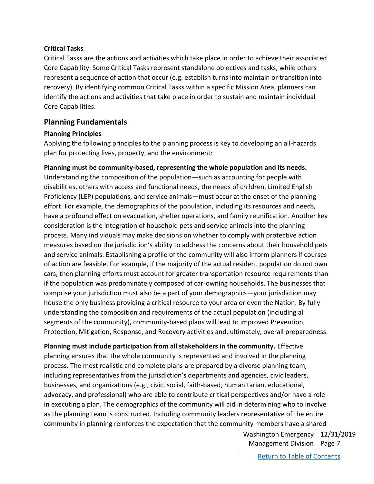#### <span id="page-6-0"></span>**Critical Tasks**

Critical Tasks are the actions and activities which take place in order to achieve their associated Core Capability. Some Critical Tasks represent standalone objectives and tasks, while others represent a sequence of action that occur (e.g. establish turns into maintain or transition into recovery). By identifying common Critical Tasks within a specific Mission Area, planners can identify the actions and activities that take place in order to sustain and maintain individual Core Capabilities.

## <span id="page-6-1"></span>**Planning Fundamentals**

#### <span id="page-6-2"></span>**Planning Principles**

Applying the following principles to the planning process is key to developing an all-hazards plan for protecting lives, property, and the environment:

### **Planning must be community-based, representing the whole population and its needs.**

Understanding the composition of the population—such as accounting for people with disabilities, others with access and functional needs, the needs of children, Limited English Proficiency (LEP) populations, and service animals—must occur at the onset of the planning effort. For example, the demographics of the population, including its resources and needs, have a profound effect on evacuation, shelter operations, and family reunification. Another key consideration is the integration of household pets and service animals into the planning process. Many individuals may make decisions on whether to comply with protective action measures based on the jurisdiction's ability to address the concerns about their household pets and service animals. Establishing a profile of the community will also inform planners if courses of action are feasible. For example, if the majority of the actual resident population do not own cars, then planning efforts must account for greater transportation resource requirements than if the population was predominately composed of car-owning households. The businesses that comprise your jurisdiction must also be a part of your demographics—your jurisdiction may house the only business providing a critical resource to your area or even the Nation. By fully understanding the composition and requirements of the actual population (including all segments of the community), community-based plans will lead to improved Prevention, Protection, Mitigation, Response, and Recovery activities and, ultimately, overall preparedness.

#### **Planning must include participation from all stakeholders in the community.** Effective

planning ensures that the whole community is represented and involved in the planning process. The most realistic and complete plans are prepared by a diverse planning team, including representatives from the jurisdiction's departments and agencies, civic leaders, businesses, and organizations (e.g., civic, social, faith-based, humanitarian, educational, advocacy, and professional) who are able to contribute critical perspectives and/or have a role in executing a plan. The demographics of the community will aid in determining who to involve as the planning team is constructed. Including community leaders representative of the entire community in planning reinforces the expectation that the community members have a shared

> Washington Emergency 12/31/2019 Management Division | Page 7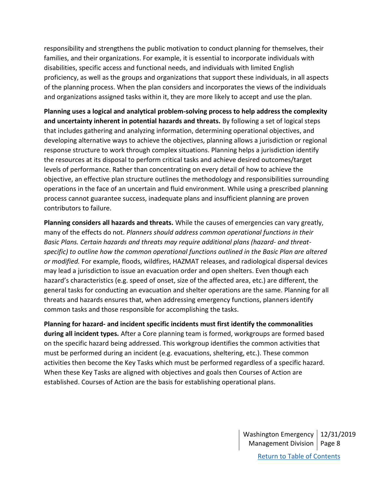responsibility and strengthens the public motivation to conduct planning for themselves, their families, and their organizations. For example, it is essential to incorporate individuals with disabilities, specific access and functional needs, and individuals with limited English proficiency, as well as the groups and organizations that support these individuals, in all aspects of the planning process. When the plan considers and incorporates the views of the individuals and organizations assigned tasks within it, they are more likely to accept and use the plan.

**Planning uses a logical and analytical problem-solving process to help address the complexity and uncertainty inherent in potential hazards and threats.** By following a set of logical steps that includes gathering and analyzing information, determining operational objectives, and developing alternative ways to achieve the objectives, planning allows a jurisdiction or regional response structure to work through complex situations. Planning helps a jurisdiction identify the resources at its disposal to perform critical tasks and achieve desired outcomes/target levels of performance. Rather than concentrating on every detail of how to achieve the objective, an effective plan structure outlines the methodology and responsibilities surrounding operations in the face of an uncertain and fluid environment. While using a prescribed planning process cannot guarantee success, inadequate plans and insufficient planning are proven contributors to failure.

**Planning considers all hazards and threats.** While the causes of emergencies can vary greatly, many of the effects do not. *Planners should address common operational functions in their Basic Plans. Certain hazards and threats may require additional plans (hazard- and threatspecific) to outline how the common operational functions outlined in the Basic Plan are altered or modified.* For example, floods, wildfires, HAZMAT releases, and radiological dispersal devices may lead a jurisdiction to issue an evacuation order and open shelters. Even though each hazard's characteristics (e.g. speed of onset, size of the affected area, etc.) are different, the general tasks for conducting an evacuation and shelter operations are the same. Planning for all threats and hazards ensures that, when addressing emergency functions, planners identify common tasks and those responsible for accomplishing the tasks.

**Planning for hazard- and incident specific incidents must first identify the commonalities during all incident types.** After a Core planning team is formed, workgroups are formed based on the specific hazard being addressed. This workgroup identifies the common activities that must be performed during an incident (e.g. evacuations, sheltering, etc.). These common activities then become the Key Tasks which must be performed regardless of a specific hazard. When these Key Tasks are aligned with objectives and goals then Courses of Action are established. Courses of Action are the basis for establishing operational plans.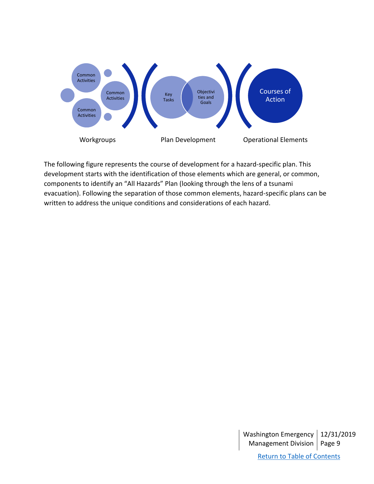

The following figure represents the course of development for a hazard-specific plan. This development starts with the identification of those elements which are general, or common, components to identify an "All Hazards" Plan (looking through the lens of a tsunami evacuation). Following the separation of those common elements, hazard-specific plans can be written to address the unique conditions and considerations of each hazard.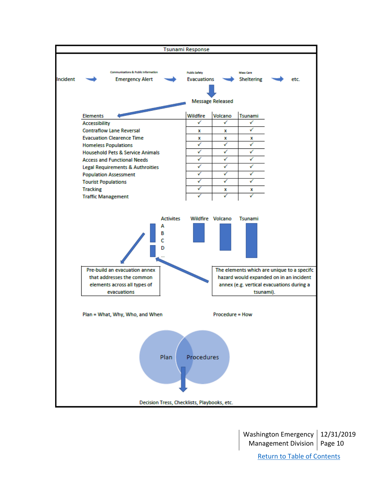

Washington Emergency 12/31/2019 Management Division | Page 10 [Return to Table of Contents](#page-1-0)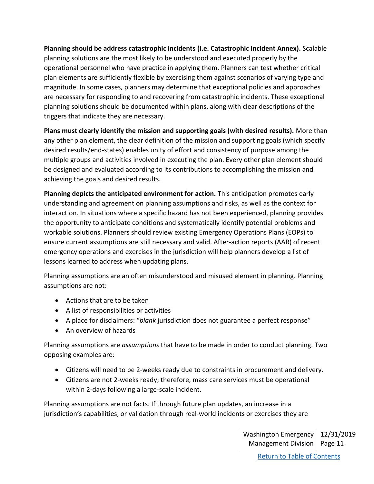**Planning should be address catastrophic incidents (i.e. Catastrophic Incident Annex).** Scalable planning solutions are the most likely to be understood and executed properly by the operational personnel who have practice in applying them. Planners can test whether critical plan elements are sufficiently flexible by exercising them against scenarios of varying type and magnitude. In some cases, planners may determine that exceptional policies and approaches are necessary for responding to and recovering from catastrophic incidents. These exceptional planning solutions should be documented within plans, along with clear descriptions of the triggers that indicate they are necessary.

**Plans must clearly identify the mission and supporting goals (with desired results).** More than any other plan element, the clear definition of the mission and supporting goals (which specify desired results/end-states) enables unity of effort and consistency of purpose among the multiple groups and activities involved in executing the plan. Every other plan element should be designed and evaluated according to its contributions to accomplishing the mission and achieving the goals and desired results.

**Planning depicts the anticipated environment for action.** This anticipation promotes early understanding and agreement on planning assumptions and risks, as well as the context for interaction. In situations where a specific hazard has not been experienced, planning provides the opportunity to anticipate conditions and systematically identify potential problems and workable solutions. Planners should review existing Emergency Operations Plans (EOPs) to ensure current assumptions are still necessary and valid. After-action reports (AAR) of recent emergency operations and exercises in the jurisdiction will help planners develop a list of lessons learned to address when updating plans.

Planning assumptions are an often misunderstood and misused element in planning. Planning assumptions are not:

- Actions that are to be taken
- A list of responsibilities or activities
- A place for disclaimers: "*blank* jurisdiction does not guarantee a perfect response"
- An overview of hazards

Planning assumptions are *assumptions* that have to be made in order to conduct planning. Two opposing examples are:

- Citizens will need to be 2-weeks ready due to constraints in procurement and delivery.
- Citizens are not 2-weeks ready; therefore, mass care services must be operational within 2-days following a large-scale incident.

Planning assumptions are not facts. If through future plan updates, an increase in a jurisdiction's capabilities, or validation through real-world incidents or exercises they are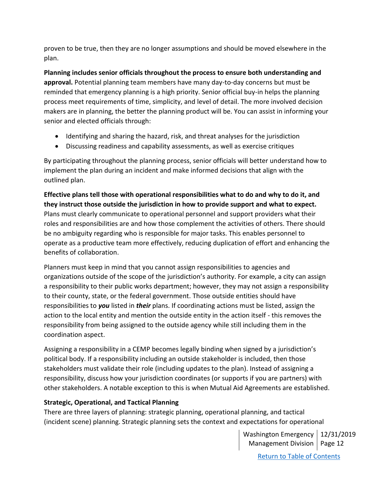proven to be true, then they are no longer assumptions and should be moved elsewhere in the plan.

**Planning includes senior officials throughout the process to ensure both understanding and approval.** Potential planning team members have many day-to-day concerns but must be reminded that emergency planning is a high priority. Senior official buy-in helps the planning process meet requirements of time, simplicity, and level of detail. The more involved decision makers are in planning, the better the planning product will be. You can assist in informing your senior and elected officials through:

- Identifying and sharing the hazard, risk, and threat analyses for the jurisdiction
- Discussing readiness and capability assessments, as well as exercise critiques

By participating throughout the planning process, senior officials will better understand how to implement the plan during an incident and make informed decisions that align with the outlined plan.

**Effective plans tell those with operational responsibilities what to do and why to do it, and they instruct those outside the jurisdiction in how to provide support and what to expect.** Plans must clearly communicate to operational personnel and support providers what their roles and responsibilities are and how those complement the activities of others. There should be no ambiguity regarding who is responsible for major tasks. This enables personnel to operate as a productive team more effectively, reducing duplication of effort and enhancing the benefits of collaboration.

Planners must keep in mind that you cannot assign responsibilities to agencies and organizations outside of the scope of the jurisdiction's authority. For example, a city can assign a responsibility to their public works department; however, they may not assign a responsibility to their county, state, or the federal government. Those outside entities should have responsibilities to *you* listed in *their* plans. If coordinating actions must be listed, assign the action to the local entity and mention the outside entity in the action itself - this removes the responsibility from being assigned to the outside agency while still including them in the coordination aspect.

Assigning a responsibility in a CEMP becomes legally binding when signed by a jurisdiction's political body. If a responsibility including an outside stakeholder is included, then those stakeholders must validate their role (including updates to the plan). Instead of assigning a responsibility, discuss how your jurisdiction coordinates (or supports if you are partners) with other stakeholders. A notable exception to this is when Mutual Aid Agreements are established.

# <span id="page-11-0"></span>**Strategic, Operational, and Tactical Planning**

There are three layers of planning: strategic planning, operational planning, and tactical (incident scene) planning. Strategic planning sets the context and expectations for operational

> Washington Emergency 12/31/2019 Management Division | Page 12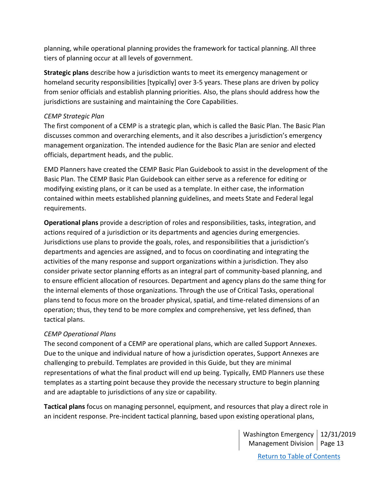planning, while operational planning provides the framework for tactical planning. All three tiers of planning occur at all levels of government.

**Strategic plans** describe how a jurisdiction wants to meet its emergency management or homeland security responsibilities [typically] over 3-5 years. These plans are driven by policy from senior officials and establish planning priorities. Also, the plans should address how the jurisdictions are sustaining and maintaining the Core Capabilities.

#### *CEMP Strategic Plan*

The first component of a CEMP is a strategic plan, which is called the Basic Plan. The Basic Plan discusses common and overarching elements, and it also describes a jurisdiction's emergency management organization. The intended audience for the Basic Plan are senior and elected officials, department heads, and the public.

EMD Planners have created the CEMP Basic Plan Guidebook to assist in the development of the Basic Plan. The CEMP Basic Plan Guidebook can either serve as a reference for editing or modifying existing plans, or it can be used as a template. In either case, the information contained within meets established planning guidelines, and meets State and Federal legal requirements.

**Operational plans** provide a description of roles and responsibilities, tasks, integration, and actions required of a jurisdiction or its departments and agencies during emergencies. Jurisdictions use plans to provide the goals, roles, and responsibilities that a jurisdiction's departments and agencies are assigned, and to focus on coordinating and integrating the activities of the many response and support organizations within a jurisdiction. They also consider private sector planning efforts as an integral part of community-based planning, and to ensure efficient allocation of resources. Department and agency plans do the same thing for the internal elements of those organizations. Through the use of Critical Tasks, operational plans tend to focus more on the broader physical, spatial, and time-related dimensions of an operation; thus, they tend to be more complex and comprehensive, yet less defined, than tactical plans.

### *CEMP Operational Plans*

The second component of a CEMP are operational plans, which are called Support Annexes. Due to the unique and individual nature of how a jurisdiction operates, Support Annexes are challenging to prebuild. Templates are provided in this Guide, but they are minimal representations of what the final product will end up being. Typically, EMD Planners use these templates as a starting point because they provide the necessary structure to begin planning and are adaptable to jurisdictions of any size or capability.

**Tactical plans** focus on managing personnel, equipment, and resources that play a direct role in an incident response. Pre-incident tactical planning, based upon existing operational plans,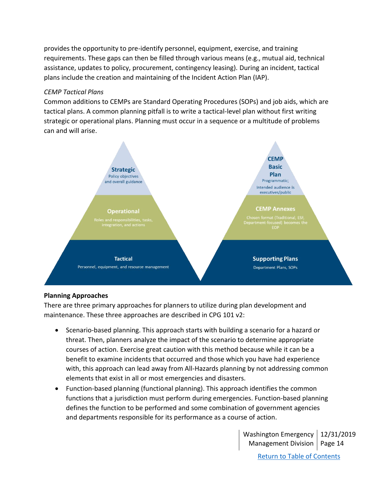provides the opportunity to pre-identify personnel, equipment, exercise, and training requirements. These gaps can then be filled through various means (e.g., mutual aid, technical assistance, updates to policy, procurement, contingency leasing). During an incident, tactical plans include the creation and maintaining of the Incident Action Plan (IAP).

### *CEMP Tactical Plans*

Common additions to CEMPs are Standard Operating Procedures (SOPs) and job aids, which are tactical plans. A common planning pitfall is to write a tactical-level plan without first writing strategic or operational plans. Planning must occur in a sequence or a multitude of problems can and will arise.



# <span id="page-13-0"></span>**Planning Approaches**

There are three primary approaches for planners to utilize during plan development and maintenance. These three approaches are described in CPG 101 v2:

- Scenario-based planning. This approach starts with building a scenario for a hazard or threat. Then, planners analyze the impact of the scenario to determine appropriate courses of action. Exercise great caution with this method because while it can be a benefit to examine incidents that occurred and those which you have had experience with, this approach can lead away from All-Hazards planning by not addressing common elements that exist in all or most emergencies and disasters.
- Function-based planning (functional planning). This approach identifies the common functions that a jurisdiction must perform during emergencies. Function-based planning defines the function to be performed and some combination of government agencies and departments responsible for its performance as a course of action.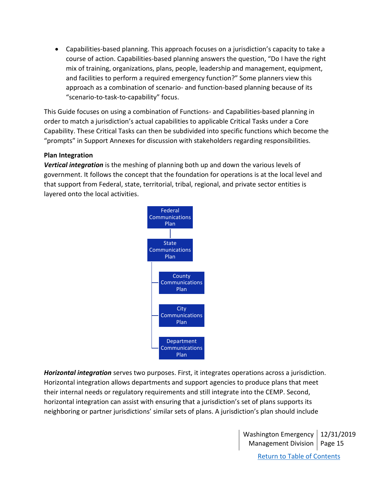• Capabilities-based planning. This approach focuses on a jurisdiction's capacity to take a course of action. Capabilities-based planning answers the question, "Do I have the right mix of training, organizations, plans, people, leadership and management, equipment, and facilities to perform a required emergency function?" Some planners view this approach as a combination of scenario- and function-based planning because of its "scenario-to-task-to-capability" focus.

This Guide focuses on using a combination of Functions- and Capabilities-based planning in order to match a jurisdiction's actual capabilities to applicable Critical Tasks under a Core Capability. These Critical Tasks can then be subdivided into specific functions which become the "prompts" in Support Annexes for discussion with stakeholders regarding responsibilities.

#### <span id="page-14-0"></span>**Plan Integration**

*Vertical integration* is the meshing of planning both up and down the various levels of government. It follows the concept that the foundation for operations is at the local level and that support from Federal, state, territorial, tribal, regional, and private sector entities is layered onto the local activities.



*Horizontal integration* serves two purposes. First, it integrates operations across a jurisdiction. Horizontal integration allows departments and support agencies to produce plans that meet their internal needs or regulatory requirements and still integrate into the CEMP. Second, horizontal integration can assist with ensuring that a jurisdiction's set of plans supports its neighboring or partner jurisdictions' similar sets of plans. A jurisdiction's plan should include

> Washington Emergency 12/31/2019 Management Division | Page 15 [Return to Table of Contents](#page-1-0)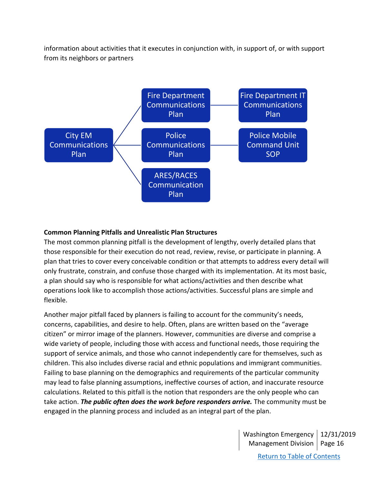information about activities that it executes in conjunction with, in support of, or with support from its neighbors or partners



#### <span id="page-15-0"></span>**Common Planning Pitfalls and Unrealistic Plan Structures**

The most common planning pitfall is the development of lengthy, overly detailed plans that those responsible for their execution do not read, review, revise, or participate in planning. A plan that tries to cover every conceivable condition or that attempts to address every detail will only frustrate, constrain, and confuse those charged with its implementation. At its most basic, a plan should say who is responsible for what actions/activities and then describe what operations look like to accomplish those actions/activities. Successful plans are simple and flexible.

Another major pitfall faced by planners is failing to account for the community's needs, concerns, capabilities, and desire to help. Often, plans are written based on the "average citizen" or mirror image of the planners. However, communities are diverse and comprise a wide variety of people, including those with access and functional needs, those requiring the support of service animals, and those who cannot independently care for themselves, such as children. This also includes diverse racial and ethnic populations and immigrant communities. Failing to base planning on the demographics and requirements of the particular community may lead to false planning assumptions, ineffective courses of action, and inaccurate resource calculations. Related to this pitfall is the notion that responders are the only people who can take action. *The public often does the work before responders arrive.* The community must be engaged in the planning process and included as an integral part of the plan.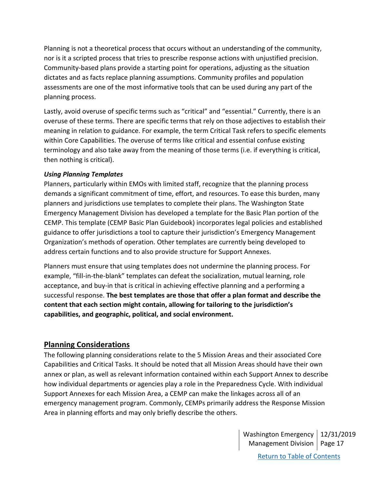Planning is not a theoretical process that occurs without an understanding of the community, nor is it a scripted process that tries to prescribe response actions with unjustified precision. Community-based plans provide a starting point for operations, adjusting as the situation dictates and as facts replace planning assumptions. Community profiles and population assessments are one of the most informative tools that can be used during any part of the planning process.

Lastly, avoid overuse of specific terms such as "critical" and "essential." Currently, there is an overuse of these terms. There are specific terms that rely on those adjectives to establish their meaning in relation to guidance. For example, the term Critical Task refers to specific elements within Core Capabilities. The overuse of terms like critical and essential confuse existing terminology and also take away from the meaning of those terms (i.e. if everything is critical, then nothing is critical).

#### *Using Planning Templates*

Planners, particularly within EMOs with limited staff, recognize that the planning process demands a significant commitment of time, effort, and resources. To ease this burden, many planners and jurisdictions use templates to complete their plans. The Washington State Emergency Management Division has developed a template for the Basic Plan portion of the CEMP. This template (CEMP Basic Plan Guidebook) incorporates legal policies and established guidance to offer jurisdictions a tool to capture their jurisdiction's Emergency Management Organization's methods of operation. Other templates are currently being developed to address certain functions and to also provide structure for Support Annexes.

Planners must ensure that using templates does not undermine the planning process. For example, "fill-in-the-blank" templates can defeat the socialization, mutual learning, role acceptance, and buy-in that is critical in achieving effective planning and a performing a successful response. **The best templates are those that offer a plan format and describe the content that each section might contain, allowing for tailoring to the jurisdiction's capabilities, and geographic, political, and social environment.**

# <span id="page-16-0"></span>**Planning Considerations**

The following planning considerations relate to the 5 Mission Areas and their associated Core Capabilities and Critical Tasks. It should be noted that all Mission Areas should have their own annex or plan, as well as relevant information contained within each Support Annex to describe how individual departments or agencies play a role in the Preparedness Cycle. With individual Support Annexes for each Mission Area, a CEMP can make the linkages across all of an emergency management program. Commonly, CEMPs primarily address the Response Mission Area in planning efforts and may only briefly describe the others.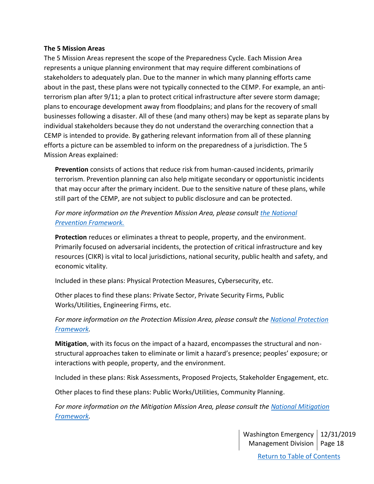#### <span id="page-17-0"></span>**The 5 Mission Areas**

The 5 Mission Areas represent the scope of the Preparedness Cycle. Each Mission Area represents a unique planning environment that may require different combinations of stakeholders to adequately plan. Due to the manner in which many planning efforts came about in the past, these plans were not typically connected to the CEMP. For example, an antiterrorism plan after 9/11; a plan to protect critical infrastructure after severe storm damage; plans to encourage development away from floodplains; and plans for the recovery of small businesses following a disaster. All of these (and many others) may be kept as separate plans by individual stakeholders because they do not understand the overarching connection that a CEMP is intended to provide. By gathering relevant information from all of these planning efforts a picture can be assembled to inform on the preparedness of a jurisdiction. The 5 Mission Areas explained:

**Prevention** consists of actions that reduce risk from human-caused incidents, primarily terrorism. Prevention planning can also help mitigate secondary or opportunistic incidents that may occur after the primary incident. Due to the sensitive nature of these plans, while still part of the CEMP, are not subject to public disclosure and can be protected.

*For more information on the Prevention Mission Area, please consult [the National](https://www.fema.gov/media-library-data/1466017209279-83b72d5959787995794c0874095500b1/National_Prevention_Framework2nd.pdf)  [Prevention Framework.](https://www.fema.gov/media-library-data/1466017209279-83b72d5959787995794c0874095500b1/National_Prevention_Framework2nd.pdf)*

**Protection** reduces or eliminates a threat to people, property, and the environment. Primarily focused on adversarial incidents, the protection of critical infrastructure and key resources (CIKR) is vital to local jurisdictions, national security, public health and safety, and economic vitality.

Included in these plans: Physical Protection Measures, Cybersecurity, etc.

Other places to find these plans: Private Sector, Private Security Firms, Public Works/Utilities, Engineering Firms, etc.

For more information on the Protection Mission Area, please consult the National Protection *[Framework.](https://www.fema.gov/media-library-data/1466017309052-85051ed62fe595d4ad026edf4d85541e/National_Protection_Framework2nd.pdf)*

**Mitigation**, with its focus on the impact of a hazard, encompasses the structural and nonstructural approaches taken to eliminate or limit a hazard's presence; peoples' exposure; or interactions with people, property, and the environment.

Included in these plans: Risk Assessments, Proposed Projects, Stakeholder Engagement, etc.

Other places to find these plans: Public Works/Utilities, Community Planning.

*For more information on the Mitigation Mission Area, please consult the [National Mitigation](https://www.fema.gov/media-library-data/1466014166147-11a14dee807e1ebc67cd9b74c6c64bb3/National_Mitigation_Framework2nd.pdf)  [Framework.](https://www.fema.gov/media-library-data/1466014166147-11a14dee807e1ebc67cd9b74c6c64bb3/National_Mitigation_Framework2nd.pdf)*

> Washington Emergency 12/31/2019 Management Division | Page 18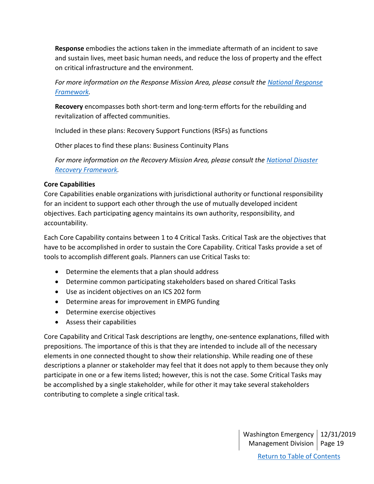**Response** embodies the actions taken in the immediate aftermath of an incident to save and sustain lives, meet basic human needs, and reduce the loss of property and the effect on critical infrastructure and the environment.

*For more information on the Response Mission Area, please consult the [National Response](https://www.fema.gov/media-library-data/1572366339630-0e9278a0ede9ee129025182b4d0f818e/National_Response_Framework_4th_20191028.pdf)  [Framework.](https://www.fema.gov/media-library-data/1572366339630-0e9278a0ede9ee129025182b4d0f818e/National_Response_Framework_4th_20191028.pdf)*

**Recovery** encompasses both short-term and long-term efforts for the rebuilding and revitalization of affected communities.

Included in these plans: Recovery Support Functions (RSFs) as functions

Other places to find these plans: Business Continuity Plans

*For more information on the Recovery Mission Area, please consult the [National Disaster](https://www.fema.gov/media-library-data/1466014998123-4bec8550930f774269e0c5968b120ba2/National_Disaster_Recovery_Framework2nd.pdf)  [Recovery Framework.](https://www.fema.gov/media-library-data/1466014998123-4bec8550930f774269e0c5968b120ba2/National_Disaster_Recovery_Framework2nd.pdf)*

## <span id="page-18-0"></span>**Core Capabilities**

Core Capabilities enable organizations with jurisdictional authority or functional responsibility for an incident to support each other through the use of mutually developed incident objectives. Each participating agency maintains its own authority, responsibility, and accountability.

Each Core Capability contains between 1 to 4 Critical Tasks. Critical Task are the objectives that have to be accomplished in order to sustain the Core Capability. Critical Tasks provide a set of tools to accomplish different goals. Planners can use Critical Tasks to:

- Determine the elements that a plan should address
- Determine common participating stakeholders based on shared Critical Tasks
- Use as incident objectives on an ICS 202 form
- Determine areas for improvement in EMPG funding
- Determine exercise objectives
- Assess their capabilities

Core Capability and Critical Task descriptions are lengthy, one-sentence explanations, filled with prepositions. The importance of this is that they are intended to include all of the necessary elements in one connected thought to show their relationship. While reading one of these descriptions a planner or stakeholder may feel that it does not apply to them because they only participate in one or a few items listed; however, this is not the case. Some Critical Tasks may be accomplished by a single stakeholder, while for other it may take several stakeholders contributing to complete a single critical task.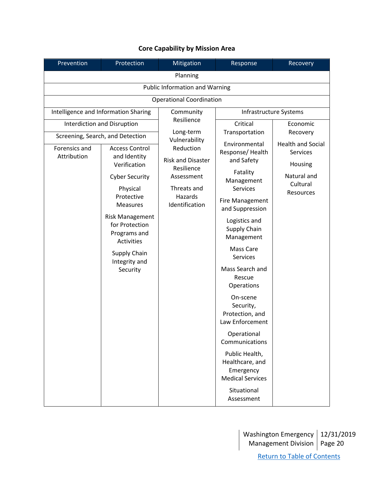| Prevention                           | Protection                                                                     | Mitigation                               | Response                                                                  | Recovery                |  |
|--------------------------------------|--------------------------------------------------------------------------------|------------------------------------------|---------------------------------------------------------------------------|-------------------------|--|
| Planning                             |                                                                                |                                          |                                                                           |                         |  |
|                                      |                                                                                | <b>Public Information and Warning</b>    |                                                                           |                         |  |
|                                      |                                                                                | <b>Operational Coordination</b>          |                                                                           |                         |  |
| Intelligence and Information Sharing |                                                                                | Community                                | Infrastructure Systems                                                    |                         |  |
|                                      | <b>Interdiction and Disruption</b>                                             | Resilience                               | Critical                                                                  | Economic                |  |
|                                      | Screening, Search, and Detection                                               | Long-term<br>Vulnerability               | Transportation                                                            | Recovery                |  |
| Forensics and<br>Attribution         | Reduction<br><b>Access Control</b><br>and Identity<br><b>Risk and Disaster</b> | Environmental<br>Response/Health         | <b>Health and Social</b><br>Services                                      |                         |  |
|                                      | Verification                                                                   | Resilience                               | and Safety<br>Fatality                                                    | Housing                 |  |
|                                      | <b>Cyber Security</b>                                                          | Assessment                               | Management                                                                | Natural and<br>Cultural |  |
|                                      | Physical<br>Protective<br><b>Measures</b>                                      | Threats and<br>Hazards<br>Identification | <b>Services</b><br>Fire Management                                        | Resources               |  |
|                                      | <b>Risk Management</b>                                                         |                                          | and Suppression                                                           |                         |  |
| <b>Activities</b>                    | for Protection<br>Programs and                                                 |                                          | Logistics and<br>Supply Chain<br>Management                               |                         |  |
|                                      | Supply Chain<br>Integrity and                                                  |                                          | Mass Care<br>Services                                                     |                         |  |
|                                      | Security                                                                       |                                          | Mass Search and<br>Rescue<br>Operations                                   |                         |  |
|                                      |                                                                                |                                          | On-scene<br>Security,<br>Protection, and<br>Law Enforcement               |                         |  |
|                                      |                                                                                |                                          | Operational<br>Communications                                             |                         |  |
|                                      |                                                                                |                                          | Public Health,<br>Healthcare, and<br>Emergency<br><b>Medical Services</b> |                         |  |
|                                      |                                                                                |                                          | Situational<br>Assessment                                                 |                         |  |

# **Core Capability by Mission Area**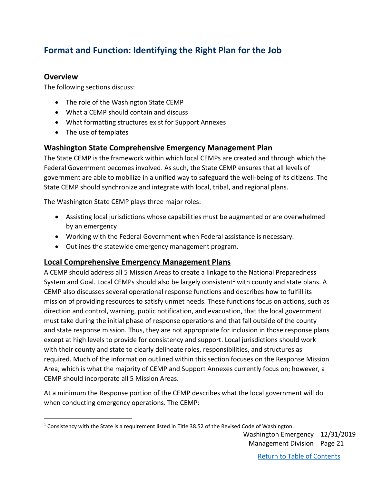# <span id="page-20-0"></span>**Format and Function: Identifying the Right Plan for the Job**

# <span id="page-20-1"></span>**Overview**

The following sections discuss:

- The role of the Washington State CEMP
- What a CEMP should contain and discuss
- What formatting structures exist for Support Annexes
- The use of templates

# <span id="page-20-2"></span>**Washington State Comprehensive Emergency Management Plan**

The State CEMP is the framework within which local CEMPs are created and through which the Federal Government becomes involved. As such, the State CEMP ensures that all levels of government are able to mobilize in a unified way to safeguard the well-being of its citizens. The State CEMP should synchronize and integrate with local, tribal, and regional plans.

The Washington State CEMP plays three major roles:

- Assisting local jurisdictions whose capabilities must be augmented or are overwhelmed by an emergency
- Working with the Federal Government when Federal assistance is necessary.
- Outlines the statewide emergency management program.

# <span id="page-20-3"></span>**Local Comprehensive Emergency Management Plans**

A CEMP should address all 5 Mission Areas to create a linkage to the National Preparedness System and Goal. Local CEMPs should also be largely consistent<sup>1</sup> with county and state plans. A CEMP also discusses several operational response functions and describes how to fulfill its mission of providing resources to satisfy unmet needs. These functions focus on actions, such as direction and control, warning, public notification, and evacuation, that the local government must take during the initial phase of response operations and that fall outside of the county and state response mission. Thus, they are not appropriate for inclusion in those response plans except at high levels to provide for consistency and support. Local jurisdictions should work with their county and state to clearly delineate roles, responsibilities, and structures as required. Much of the information outlined within this section focuses on the Response Mission Area, which is what the majority of CEMP and Support Annexes currently focus on; however, a CEMP should incorporate all 5 Mission Areas.

At a minimum the Response portion of the CEMP describes what the local government will do when conducting emergency operations. The CEMP:

Washington Emergency 12/31/2019 Management Division | Page 21

 $1$  Consistency with the State is a requirement listed in Title 38.52 of the Revised Code of Washington.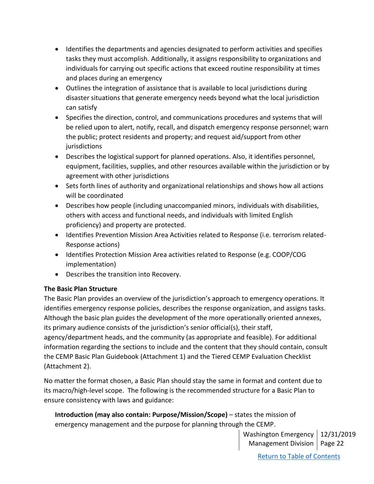- Identifies the departments and agencies designated to perform activities and specifies tasks they must accomplish. Additionally, it assigns responsibility to organizations and individuals for carrying out specific actions that exceed routine responsibility at times and places during an emergency
- Outlines the integration of assistance that is available to local jurisdictions during disaster situations that generate emergency needs beyond what the local jurisdiction can satisfy
- Specifies the direction, control, and communications procedures and systems that will be relied upon to alert, notify, recall, and dispatch emergency response personnel; warn the public; protect residents and property; and request aid/support from other jurisdictions
- Describes the logistical support for planned operations. Also, it identifies personnel, equipment, facilities, supplies, and other resources available within the jurisdiction or by agreement with other jurisdictions
- Sets forth lines of authority and organizational relationships and shows how all actions will be coordinated
- Describes how people (including unaccompanied minors, individuals with disabilities, others with access and functional needs, and individuals with limited English proficiency) and property are protected.
- Identifies Prevention Mission Area Activities related to Response (i.e. terrorism related-Response actions)
- Identifies Protection Mission Area activities related to Response (e.g. COOP/COG implementation)
- Describes the transition into Recovery.

# <span id="page-21-0"></span>**The Basic Plan Structure**

The Basic Plan provides an overview of the jurisdiction's approach to emergency operations. It identifies emergency response policies, describes the response organization, and assigns tasks. Although the basic plan guides the development of the more operationally oriented annexes, its primary audience consists of the jurisdiction's senior official(s), their staff, agency/department heads, and the community (as appropriate and feasible). For additional information regarding the sections to include and the content that they should contain, consult the CEMP Basic Plan Guidebook (Attachment 1) and the Tiered CEMP Evaluation Checklist (Attachment 2).

No matter the format chosen, a Basic Plan should stay the same in format and content due to its macro/high-level scope. The following is the recommended structure for a Basic Plan to ensure consistency with laws and guidance:

**Introduction (may also contain: Purpose/Mission/Scope)** – states the mission of emergency management and the purpose for planning through the CEMP.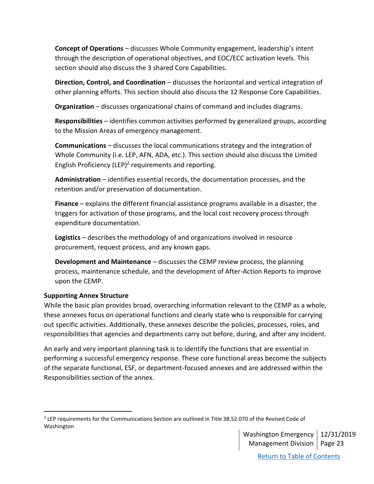**Concept of Operations** – discusses Whole Community engagement, leadership's intent through the description of operational objectives, and EOC/ECC activation levels. This section should also discuss the 3 shared Core Capabilities.

**Direction, Control, and Coordination** – discusses the horizontal and vertical integration of other planning efforts. This section should also discuss the 12 Response Core Capabilities.

**Organization** – discusses organizational chains of command and includes diagrams.

**Responsibilities** – identifies common activities performed by generalized groups, according to the Mission Areas of emergency management.

**Communications** – discusses the local communications strategy and the integration of Whole Community (i.e. LEP, AFN, ADA, etc.). This section should also discuss the Limited English Proficiency (LEP)<sup>2</sup> requirements and reporting.

**Administration** – identifies essential records, the documentation processes, and the retention and/or preservation of documentation.

**Finance** – explains the different financial assistance programs available in a disaster, the triggers for activation of those programs, and the local cost recovery process through expenditure documentation.

**Logistics** – describes the methodology of and organizations involved in resource procurement, request process, and any known gaps.

**Development and Maintenance** – discusses the CEMP review process, the planning process, maintenance schedule, and the development of After-Action Reports to improve upon the CEMP.

### <span id="page-22-0"></span>**Supporting Annex Structure**

While the basic plan provides broad, overarching information relevant to the CEMP as a whole, these annexes focus on operational functions and clearly state who is responsible for carrying out specific activities. Additionally, these annexes describe the policies, processes, roles, and responsibilities that agencies and departments carry out before, during, and after any incident.

An early and very important planning task is to identify the functions that are essential in performing a successful emergency response. These core functional areas become the subjects of the separate functional, ESF, or department-focused annexes and are addressed within the Responsibilities section of the annex.

<sup>&</sup>lt;sup>2</sup> LEP requirements for the Communications Section are outlined in Title 38.52.070 of the Revised Code of Washington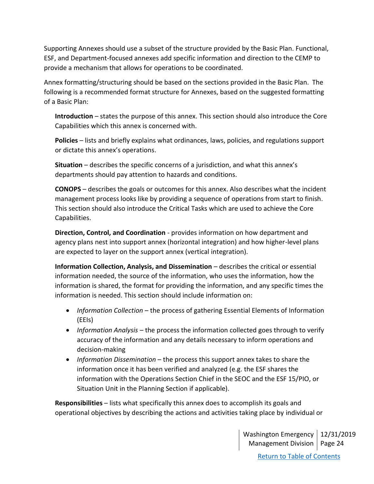Supporting Annexes should use a subset of the structure provided by the Basic Plan. Functional, ESF, and Department-focused annexes add specific information and direction to the CEMP to provide a mechanism that allows for operations to be coordinated.

Annex formatting/structuring should be based on the sections provided in the Basic Plan. The following is a recommended format structure for Annexes, based on the suggested formatting of a Basic Plan:

**Introduction** – states the purpose of this annex. This section should also introduce the Core Capabilities which this annex is concerned with.

**Policies** – lists and briefly explains what ordinances, laws, policies, and regulations support or dictate this annex's operations.

**Situation** – describes the specific concerns of a jurisdiction, and what this annex's departments should pay attention to hazards and conditions.

**CONOPS** – describes the goals or outcomes for this annex. Also describes what the incident management process looks like by providing a sequence of operations from start to finish. This section should also introduce the Critical Tasks which are used to achieve the Core Capabilities.

**Direction, Control, and Coordination** - provides information on how department and agency plans nest into support annex (horizontal integration) and how higher-level plans are expected to layer on the support annex (vertical integration).

**Information Collection, Analysis, and Dissemination** – describes the critical or essential information needed, the source of the information, who uses the information, how the information is shared, the format for providing the information, and any specific times the information is needed. This section should include information on:

- *Information Collection* the process of gathering Essential Elements of Information (EEIs)
- *Information Analysis* the process the information collected goes through to verify accuracy of the information and any details necessary to inform operations and decision-making
- *Information Dissemination* the process this support annex takes to share the information once it has been verified and analyzed (e.g. the ESF shares the information with the Operations Section Chief in the SEOC and the ESF 15/PIO, or Situation Unit in the Planning Section if applicable).

**Responsibilities** – lists what specifically this annex does to accomplish its goals and operational objectives by describing the actions and activities taking place by individual or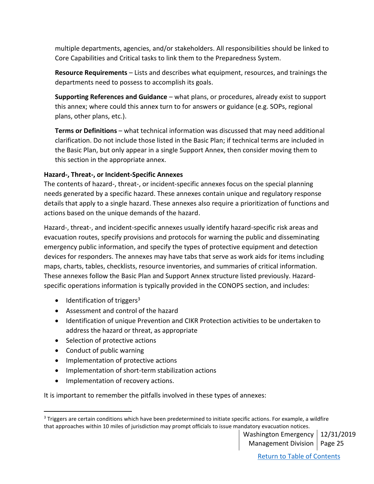multiple departments, agencies, and/or stakeholders. All responsibilities should be linked to Core Capabilities and Critical tasks to link them to the Preparedness System.

**Resource Requirements** – Lists and describes what equipment, resources, and trainings the departments need to possess to accomplish its goals.

**Supporting References and Guidance** – what plans, or procedures, already exist to support this annex; where could this annex turn to for answers or guidance (e.g. SOPs, regional plans, other plans, etc.).

**Terms or Definitions** – what technical information was discussed that may need additional clarification. Do not include those listed in the Basic Plan; if technical terms are included in the Basic Plan, but only appear in a single Support Annex, then consider moving them to this section in the appropriate annex.

### <span id="page-24-0"></span>**Hazard-, Threat-, or Incident-Specific Annexes**

The contents of hazard-, threat-, or incident-specific annexes focus on the special planning needs generated by a specific hazard. These annexes contain unique and regulatory response details that apply to a single hazard. These annexes also require a prioritization of functions and actions based on the unique demands of the hazard.

Hazard-, threat-, and incident-specific annexes usually identify hazard-specific risk areas and evacuation routes, specify provisions and protocols for warning the public and disseminating emergency public information, and specify the types of protective equipment and detection devices for responders. The annexes may have tabs that serve as work aids for items including maps, charts, tables, checklists, resource inventories, and summaries of critical information. These annexes follow the Basic Plan and Support Annex structure listed previously. Hazardspecific operations information is typically provided in the CONOPS section, and includes:

- $\bullet$  Identification of triggers<sup>3</sup>
- Assessment and control of the hazard
- Identification of unique Prevention and CIKR Protection activities to be undertaken to address the hazard or threat, as appropriate
- Selection of protective actions
- Conduct of public warning
- Implementation of protective actions
- Implementation of short-term stabilization actions
- Implementation of recovery actions.

It is important to remember the pitfalls involved in these types of annexes:

<sup>&</sup>lt;sup>3</sup> Triggers are certain conditions which have been predetermined to initiate specific actions. For example, a wildfire that approaches within 10 miles of jurisdiction may prompt officials to issue mandatory evacuation notices.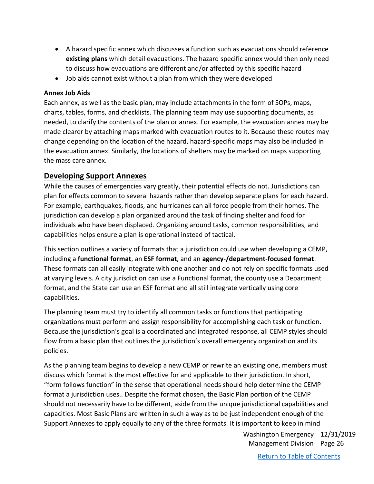- A hazard specific annex which discusses a function such as evacuations should reference **existing plans** which detail evacuations. The hazard specific annex would then only need to discuss how evacuations are different and/or affected by this specific hazard
- Job aids cannot exist without a plan from which they were developed

#### <span id="page-25-0"></span>**Annex Job Aids**

Each annex, as well as the basic plan, may include attachments in the form of SOPs, maps, charts, tables, forms, and checklists. The planning team may use supporting documents, as needed, to clarify the contents of the plan or annex. For example, the evacuation annex may be made clearer by attaching maps marked with evacuation routes to it. Because these routes may change depending on the location of the hazard, hazard-specific maps may also be included in the evacuation annex. Similarly, the locations of shelters may be marked on maps supporting the mass care annex.

## <span id="page-25-1"></span>**Developing Support Annexes**

While the causes of emergencies vary greatly, their potential effects do not. Jurisdictions can plan for effects common to several hazards rather than develop separate plans for each hazard. For example, earthquakes, floods, and hurricanes can all force people from their homes. The jurisdiction can develop a plan organized around the task of finding shelter and food for individuals who have been displaced. Organizing around tasks, common responsibilities, and capabilities helps ensure a plan is operational instead of tactical.

This section outlines a variety of formats that a jurisdiction could use when developing a CEMP, including a **functional format**, an **ESF format**, and an **agency-/department-focused format**. These formats can all easily integrate with one another and do not rely on specific formats used at varying levels. A city jurisdiction can use a Functional format, the county use a Department format, and the State can use an ESF format and all still integrate vertically using core capabilities.

The planning team must try to identify all common tasks or functions that participating organizations must perform and assign responsibility for accomplishing each task or function. Because the jurisdiction's goal is a coordinated and integrated response, all CEMP styles should flow from a basic plan that outlines the jurisdiction's overall emergency organization and its policies.

As the planning team begins to develop a new CEMP or rewrite an existing one, members must discuss which format is the most effective for and applicable to their jurisdiction. In short, "form follows function" in the sense that operational needs should help determine the CEMP format a jurisdiction uses.. Despite the format chosen, the Basic Plan portion of the CEMP should not necessarily have to be different, aside from the unique jurisdictional capabilities and capacities. Most Basic Plans are written in such a way as to be just independent enough of the Support Annexes to apply equally to any of the three formats. It is important to keep in mind

> Washington Emergency 12/31/2019 Management Division | Page 26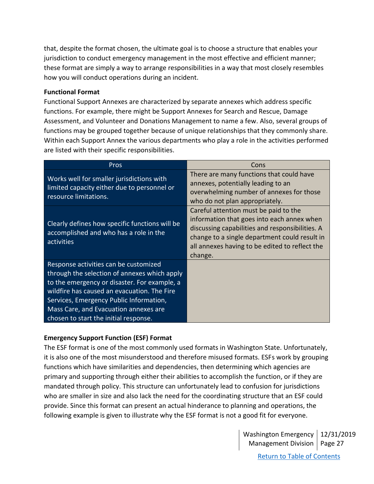that, despite the format chosen, the ultimate goal is to choose a structure that enables your jurisdiction to conduct emergency management in the most effective and efficient manner; these format are simply a way to arrange responsibilities in a way that most closely resembles how you will conduct operations during an incident.

#### <span id="page-26-0"></span>**Functional Format**

Functional Support Annexes are characterized by separate annexes which address specific functions. For example, there might be Support Annexes for Search and Rescue, Damage Assessment, and Volunteer and Donations Management to name a few. Also, several groups of functions may be grouped together because of unique relationships that they commonly share. Within each Support Annex the various departments who play a role in the activities performed are listed with their specific responsibilities.

| <b>Pros</b>                                                                                                                                                                                                                                                                                                       | Cons                                                                                                                                                                                                                                                 |
|-------------------------------------------------------------------------------------------------------------------------------------------------------------------------------------------------------------------------------------------------------------------------------------------------------------------|------------------------------------------------------------------------------------------------------------------------------------------------------------------------------------------------------------------------------------------------------|
| Works well for smaller jurisdictions with<br>limited capacity either due to personnel or<br>resource limitations.                                                                                                                                                                                                 | There are many functions that could have<br>annexes, potentially leading to an<br>overwhelming number of annexes for those<br>who do not plan appropriately.                                                                                         |
| Clearly defines how specific functions will be<br>accomplished and who has a role in the<br>activities                                                                                                                                                                                                            | Careful attention must be paid to the<br>information that goes into each annex when<br>discussing capabilities and responsibilities. A<br>change to a single department could result in<br>all annexes having to be edited to reflect the<br>change. |
| Response activities can be customized<br>through the selection of annexes which apply<br>to the emergency or disaster. For example, a<br>wildfire has caused an evacuation. The Fire<br>Services, Emergency Public Information,<br>Mass Care, and Evacuation annexes are<br>chosen to start the initial response. |                                                                                                                                                                                                                                                      |

### <span id="page-26-1"></span>**Emergency Support Function (ESF) Format**

The ESF format is one of the most commonly used formats in Washington State. Unfortunately, it is also one of the most misunderstood and therefore misused formats. ESFs work by grouping functions which have similarities and dependencies, then determining which agencies are primary and supporting through either their abilities to accomplish the function, or if they are mandated through policy. This structure can unfortunately lead to confusion for jurisdictions who are smaller in size and also lack the need for the coordinating structure that an ESF could provide. Since this format can present an actual hinderance to planning and operations, the following example is given to illustrate why the ESF format is not a good fit for everyone.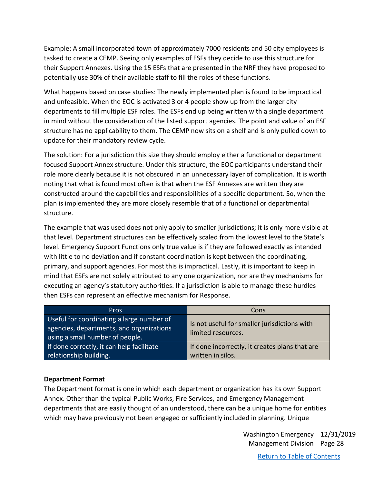Example: A small incorporated town of approximately 7000 residents and 50 city employees is tasked to create a CEMP. Seeing only examples of ESFs they decide to use this structure for their Support Annexes. Using the 15 ESFs that are presented in the NRF they have proposed to potentially use 30% of their available staff to fill the roles of these functions.

What happens based on case studies: The newly implemented plan is found to be impractical and unfeasible. When the EOC is activated 3 or 4 people show up from the larger city departments to fill multiple ESF roles. The ESFs end up being written with a single department in mind without the consideration of the listed support agencies. The point and value of an ESF structure has no applicability to them. The CEMP now sits on a shelf and is only pulled down to update for their mandatory review cycle.

The solution: For a jurisdiction this size they should employ either a functional or department focused Support Annex structure. Under this structure, the EOC participants understand their role more clearly because it is not obscured in an unnecessary layer of complication. It is worth noting that what is found most often is that when the ESF Annexes are written they are constructed around the capabilities and responsibilities of a specific department. So, when the plan is implemented they are more closely resemble that of a functional or departmental structure.

The example that was used does not only apply to smaller jurisdictions; it is only more visible at that level. Department structures can be effectively scaled from the lowest level to the State's level. Emergency Support Functions only true value is if they are followed exactly as intended with little to no deviation and if constant coordination is kept between the coordinating, primary, and support agencies. For most this is impractical. Lastly, it is important to keep in mind that ESFs are not solely attributed to any one organization, nor are they mechanisms for executing an agency's statutory authorities. If a jurisdiction is able to manage these hurdles then ESFs can represent an effective mechanism for Response.

| <b>Pros</b>                                                                                                              | Cons                                                                |
|--------------------------------------------------------------------------------------------------------------------------|---------------------------------------------------------------------|
| Useful for coordinating a large number of<br>agencies, departments, and organizations<br>using a small number of people. | Is not useful for smaller jurisdictions with<br>limited resources.  |
| If done correctly, it can help facilitate<br>relationship building.                                                      | If done incorrectly, it creates plans that are<br>written in silos. |

### <span id="page-27-0"></span>**Department Format**

The Department format is one in which each department or organization has its own Support Annex. Other than the typical Public Works, Fire Services, and Emergency Management departments that are easily thought of an understood, there can be a unique home for entities which may have previously not been engaged or sufficiently included in planning. Unique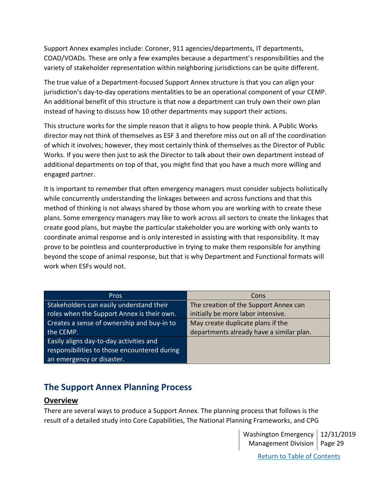Support Annex examples include: Coroner, 911 agencies/departments, IT departments, COAD/VOADs. These are only a few examples because a department's responsibilities and the variety of stakeholder representation within neighboring jurisdictions can be quite different.

The true value of a Department-focused Support Annex structure is that you can align your jurisdiction's day-to-day operations mentalities to be an operational component of your CEMP. An additional benefit of this structure is that now a department can truly own their own plan instead of having to discuss how 10 other departments may support their actions.

This structure works for the simple reason that it aligns to how people think. A Public Works director may not think of themselves as ESF 3 and therefore miss out on all of the coordination of which it involves; however, they most certainly think of themselves as the Director of Public Works. If you were then just to ask the Director to talk about their own department instead of additional departments on top of that, you might find that you have a much more willing and engaged partner.

It is important to remember that often emergency managers must consider subjects holistically while concurrently understanding the linkages between and across functions and that this method of thinking is not always shared by those whom you are working with to create these plans. Some emergency managers may like to work across all sectors to create the linkages that create good plans, but maybe the particular stakeholder you are working with only wants to coordinate animal response and is only interested in assisting with that responsibility. It may prove to be pointless and counterproductive in trying to make them responsible for anything beyond the scope of animal response, but that is why Department and Functional formats will work when ESFs would not.

| <b>Pros</b>                                  | Cons                                     |
|----------------------------------------------|------------------------------------------|
| Stakeholders can easily understand their     | The creation of the Support Annex can    |
| roles when the Support Annex is their own.   | initially be more labor intensive.       |
| Creates a sense of ownership and buy-in to   | May create duplicate plans if the        |
| the CEMP.                                    | departments already have a similar plan. |
| Easily aligns day-to-day activities and      |                                          |
| responsibilities to those encountered during |                                          |
| an emergency or disaster.                    |                                          |

# <span id="page-28-0"></span>**The Support Annex Planning Process**

# <span id="page-28-1"></span>**Overview**

There are several ways to produce a Support Annex. The planning process that follows is the result of a detailed study into Core Capabilities, The National Planning Frameworks, and CPG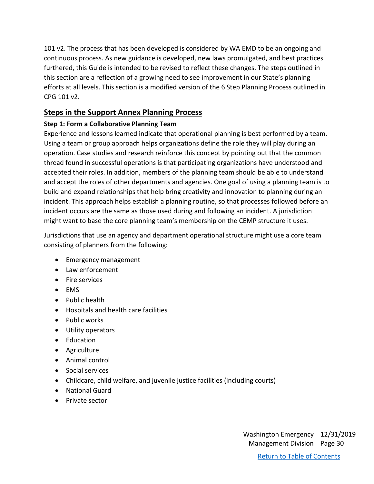101 v2. The process that has been developed is considered by WA EMD to be an ongoing and continuous process. As new guidance is developed, new laws promulgated, and best practices furthered, this Guide is intended to be revised to reflect these changes. The steps outlined in this section are a reflection of a growing need to see improvement in our State's planning efforts at all levels. This section is a modified version of the 6 Step Planning Process outlined in CPG 101 v2.

# <span id="page-29-0"></span>**Steps in the Support Annex Planning Process**

# <span id="page-29-1"></span>**Step 1: Form a Collaborative Planning Team**

Experience and lessons learned indicate that operational planning is best performed by a team. Using a team or group approach helps organizations define the role they will play during an operation. Case studies and research reinforce this concept by pointing out that the common thread found in successful operations is that participating organizations have understood and accepted their roles. In addition, members of the planning team should be able to understand and accept the roles of other departments and agencies. One goal of using a planning team is to build and expand relationships that help bring creativity and innovation to planning during an incident. This approach helps establish a planning routine, so that processes followed before an incident occurs are the same as those used during and following an incident. A jurisdiction might want to base the core planning team's membership on the CEMP structure it uses.

Jurisdictions that use an agency and department operational structure might use a core team consisting of planners from the following:

- Emergency management
- Law enforcement
- Fire services
- EMS
- Public health
- Hospitals and health care facilities
- Public works
- Utility operators
- Education
- Agriculture
- Animal control
- Social services
- Childcare, child welfare, and juvenile justice facilities (including courts)
- National Guard
- Private sector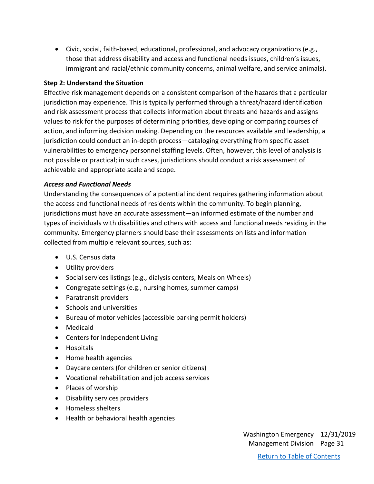• Civic, social, faith-based, educational, professional, and advocacy organizations (e.g., those that address disability and access and functional needs issues, children's issues, immigrant and racial/ethnic community concerns, animal welfare, and service animals).

### <span id="page-30-0"></span>**Step 2: Understand the Situation**

Effective risk management depends on a consistent comparison of the hazards that a particular jurisdiction may experience. This is typically performed through a threat/hazard identification and risk assessment process that collects information about threats and hazards and assigns values to risk for the purposes of determining priorities, developing or comparing courses of action, and informing decision making. Depending on the resources available and leadership, a jurisdiction could conduct an in-depth process—cataloging everything from specific asset vulnerabilities to emergency personnel staffing levels. Often, however, this level of analysis is not possible or practical; in such cases, jurisdictions should conduct a risk assessment of achievable and appropriate scale and scope.

### *Access and Functional Needs*

Understanding the consequences of a potential incident requires gathering information about the access and functional needs of residents within the community. To begin planning, jurisdictions must have an accurate assessment—an informed estimate of the number and types of individuals with disabilities and others with access and functional needs residing in the community. Emergency planners should base their assessments on lists and information collected from multiple relevant sources, such as:

- U.S. Census data
- Utility providers
- Social services listings (e.g., dialysis centers, Meals on Wheels)
- Congregate settings (e.g., nursing homes, summer camps)
- Paratransit providers
- Schools and universities
- Bureau of motor vehicles (accessible parking permit holders)
- Medicaid
- Centers for Independent Living
- Hospitals
- Home health agencies
- Daycare centers (for children or senior citizens)
- Vocational rehabilitation and job access services
- Places of worship
- Disability services providers
- Homeless shelters
- Health or behavioral health agencies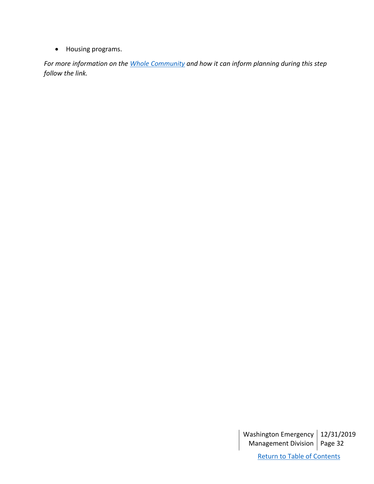• Housing programs.

*For more information on the [Whole Community](https://www.fema.gov/media-library-data/20130726-1813-25045-0649/whole_community_dec2011__2_.pdf) and how it can inform planning during this step follow the link.*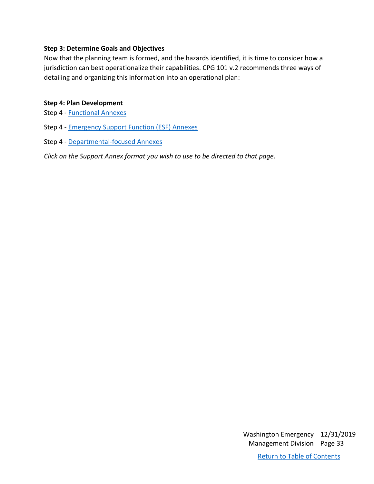### <span id="page-32-0"></span>**Step 3: Determine Goals and Objectives**

Now that the planning team is formed, and the hazards identified, it is time to consider how a jurisdiction can best operationalize their capabilities. CPG 101 v.2 recommends three ways of detailing and organizing this information into an operational plan:

### <span id="page-32-1"></span>**Step 4: Plan Development**

Step 4 - [Functional](#page-33-0) Annexes

Step 4 - [Emergency Support Function](#page-36-0) (ESF) Annexes

Step 4 - [Departmental-](#page-37-0)focused Annexes

*Click on the Support Annex format you wish to use to be directed to that page.*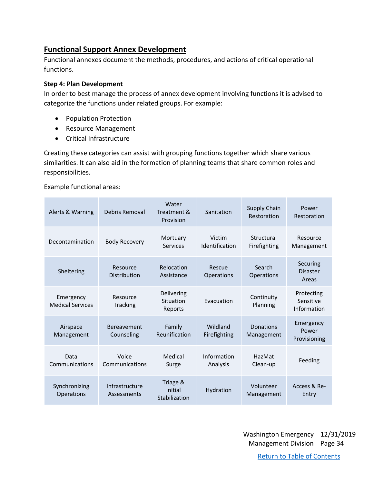# <span id="page-33-0"></span>**Functional Support Annex Development**

Functional annexes document the methods, procedures, and actions of critical operational functions.

### <span id="page-33-1"></span>**Step 4: Plan Development**

In order to best manage the process of annex development involving functions it is advised to categorize the functions under related groups. For example:

- Population Protection
- Resource Management
- Critical Infrastructure

Creating these categories can assist with grouping functions together which share various similarities. It can also aid in the formation of planning teams that share common roles and responsibilities.

Example functional areas:

| Alerts & Warning                     | Debris Removal                   | Water<br>Treatment &<br>Provision    | Sanitation               | Supply Chain<br>Restoration | Power<br>Restoration                   |
|--------------------------------------|----------------------------------|--------------------------------------|--------------------------|-----------------------------|----------------------------------------|
| Decontamination                      | <b>Body Recovery</b>             | Mortuary<br>Services                 | Victim<br>Identification | Structural<br>Firefighting  | Resource<br>Management                 |
| Sheltering                           | Resource<br><b>Distribution</b>  | Relocation<br>Assistance             | Rescue<br>Operations     | Search<br>Operations        | Securing<br><b>Disaster</b><br>Areas   |
| Emergency<br><b>Medical Services</b> | Resource<br>Tracking             | Delivering<br>Situation<br>Reports   | Fyacuation               | Continuity<br>Planning      | Protecting<br>Sensitive<br>Information |
| Airspace<br>Management               | <b>Bereavement</b><br>Counseling | Family<br>Reunification              | Wildland<br>Firefighting | Donations<br>Management     | Emergency<br>Power<br>Provisioning     |
| Data<br>Communications               | Voice<br>Communications          | Medical<br>Surge                     | Information<br>Analysis  | HazMat<br>Clean-up          | Feeding                                |
| Synchronizing<br>Operations          | Infrastructure<br>Assessments    | Triage &<br>Initial<br>Stabilization | Hydration                | Volunteer<br>Management     | Access & Re-<br>Entry                  |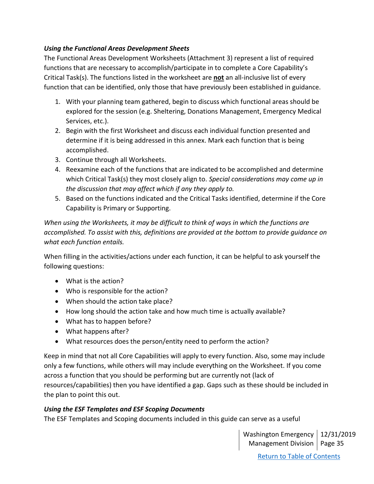## *Using the Functional Areas Development Sheets*

The Functional Areas Development Worksheets (Attachment 3) represent a list of required functions that are necessary to accomplish/participate in to complete a Core Capability's Critical Task(s). The functions listed in the worksheet are **not** an all-inclusive list of every function that can be identified, only those that have previously been established in guidance.

- 1. With your planning team gathered, begin to discuss which functional areas should be explored for the session (e.g. Sheltering, Donations Management, Emergency Medical Services, etc.).
- 2. Begin with the first Worksheet and discuss each individual function presented and determine if it is being addressed in this annex. Mark each function that is being accomplished.
- 3. Continue through all Worksheets.
- 4. Reexamine each of the functions that are indicated to be accomplished and determine which Critical Task(s) they most closely align to. *Special considerations may come up in the discussion that may affect which if any they apply to.*
- 5. Based on the functions indicated and the Critical Tasks identified, determine if the Core Capability is Primary or Supporting.

*When using the Worksheets, it may be difficult to think of ways in which the functions are accomplished. To assist with this, definitions are provided at the bottom to provide guidance on what each function entails.*

When filling in the activities/actions under each function, it can be helpful to ask yourself the following questions:

- What is the action?
- Who is responsible for the action?
- When should the action take place?
- How long should the action take and how much time is actually available?
- What has to happen before?
- What happens after?
- What resources does the person/entity need to perform the action?

Keep in mind that not all Core Capabilities will apply to every function. Also, some may include only a few functions, while others will may include everything on the Worksheet. If you come across a function that you should be performing but are currently not (lack of resources/capabilities) then you have identified a gap. Gaps such as these should be included in the plan to point this out.

# *Using the ESF Templates and ESF Scoping Documents*

The ESF Templates and Scoping documents included in this guide can serve as a useful

Washington Emergency 12/31/2019 Management Division | Page 35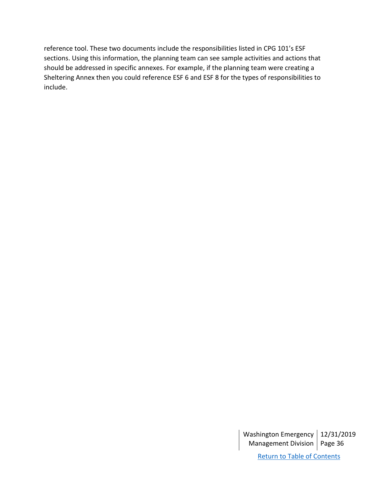reference tool. These two documents include the responsibilities listed in CPG 101's ESF sections. Using this information, the planning team can see sample activities and actions that should be addressed in specific annexes. For example, if the planning team were creating a Sheltering Annex then you could reference ESF 6 and ESF 8 for the types of responsibilities to include.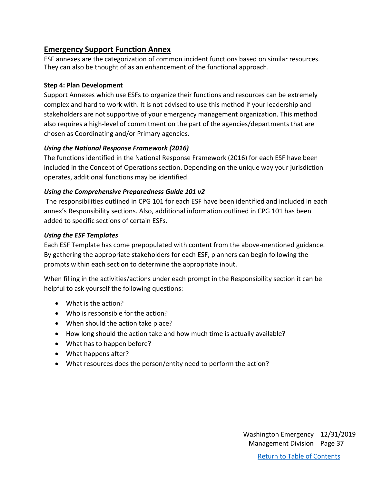# <span id="page-36-0"></span>**Emergency Support Function Annex**

ESF annexes are the categorization of common incident functions based on similar resources. They can also be thought of as an enhancement of the functional approach.

### <span id="page-36-1"></span>**Step 4: Plan Development**

Support Annexes which use ESFs to organize their functions and resources can be extremely complex and hard to work with. It is not advised to use this method if your leadership and stakeholders are not supportive of your emergency management organization. This method also requires a high-level of commitment on the part of the agencies/departments that are chosen as Coordinating and/or Primary agencies.

## *Using the National Response Framework (2016)*

The functions identified in the National Response Framework (2016) for each ESF have been included in the Concept of Operations section. Depending on the unique way your jurisdiction operates, additional functions may be identified.

## *Using the Comprehensive Preparedness Guide 101 v2*

The responsibilities outlined in CPG 101 for each ESF have been identified and included in each annex's Responsibility sections. Also, additional information outlined in CPG 101 has been added to specific sections of certain ESFs.

## *Using the ESF Templates*

Each ESF Template has come prepopulated with content from the above-mentioned guidance. By gathering the appropriate stakeholders for each ESF, planners can begin following the prompts within each section to determine the appropriate input.

When filling in the activities/actions under each prompt in the Responsibility section it can be helpful to ask yourself the following questions:

- What is the action?
- Who is responsible for the action?
- When should the action take place?
- How long should the action take and how much time is actually available?
- What has to happen before?
- What happens after?
- What resources does the person/entity need to perform the action?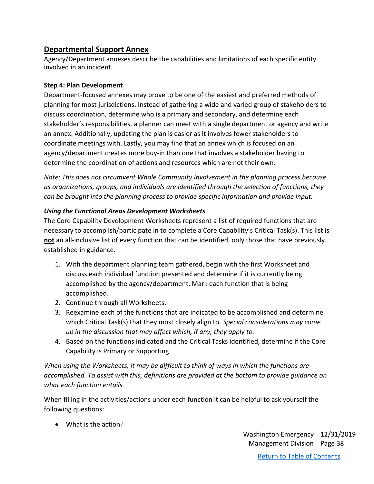# <span id="page-37-0"></span>**Departmental Support Annex**

Agency/Department annexes describe the capabilities and limitations of each specific entity involved in an incident.

## <span id="page-37-1"></span>**Step 4: Plan Development**

Department-focused annexes may prove to be one of the easiest and preferred methods of planning for most jurisdictions. Instead of gathering a wide and varied group of stakeholders to discuss coordination, determine who is a primary and secondary, and determine each stakeholder's responsibilities, a planner can meet with a single department or agency and write an annex. Additionally, updating the plan is easier as it involves fewer stakeholders to coordinate meetings with. Lastly, you may find that an annex which is focused on an agency/department creates more buy-in than one that involves a stakeholder having to determine the coordination of actions and resources which are not their own.

*Note: This does not circumvent Whole Community Involvement in the planning process because as organizations, groups, and individuals are identified through the selection of functions, they can be brought into the planning process to provide specific information and provide input.*

## *Using the Functional Areas Development Worksheets*

The Core Capability Development Worksheets represent a list of required functions that are necessary to accomplish/participate in to complete a Core Capability's Critical Task(s). This list is **not** an all-inclusive list of every function that can be identified, only those that have previously established in guidance.

- 1. With the department planning team gathered, begin with the first Worksheet and discuss each individual function presented and determine if it is currently being accomplished by the agency/department. Mark each function that is being accomplished.
- 2. Continue through all Worksheets.
- 3. Reexamine each of the functions that are indicated to be accomplished and determine which Critical Task(s) that they most closely align to. *Special considerations may come up in the discussion that may affect which, if any, they apply to.*
- 4. Based on the functions indicated and the Critical Tasks identified, determine if the Core Capability is Primary or Supporting.

*When using the Worksheets, it may be difficult to think of ways in which the functions are accomplished. To assist with this, definitions are provided at the bottom to provide guidance on what each function entails.*

When filling in the activities/actions under each function it can be helpful to ask yourself the following questions:

• What is the action?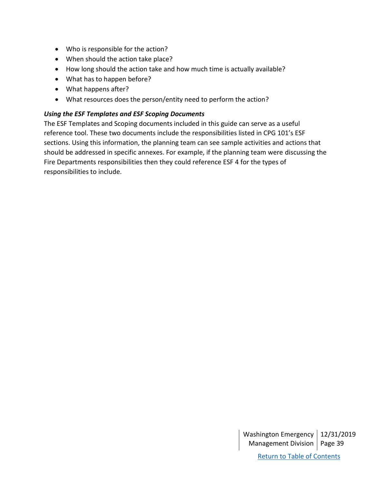- Who is responsible for the action?
- When should the action take place?
- How long should the action take and how much time is actually available?
- What has to happen before?
- What happens after?
- What resources does the person/entity need to perform the action?

### *Using the ESF Templates and ESF Scoping Documents*

The ESF Templates and Scoping documents included in this guide can serve as a useful reference tool. These two documents include the responsibilities listed in CPG 101's ESF sections. Using this information, the planning team can see sample activities and actions that should be addressed in specific annexes. For example, if the planning team were discussing the Fire Departments responsibilities then they could reference ESF 4 for the types of responsibilities to include.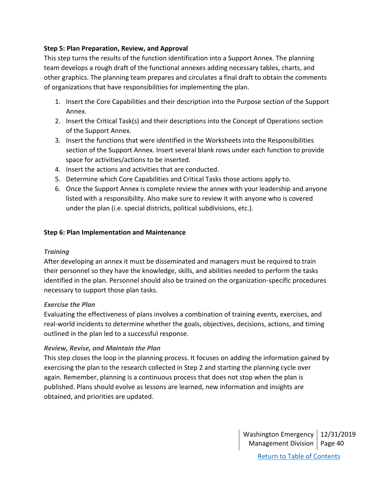### <span id="page-39-0"></span>**Step 5: Plan Preparation, Review, and Approval**

This step turns the results of the function identification into a Support Annex. The planning team develops a rough draft of the functional annexes adding necessary tables, charts, and other graphics. The planning team prepares and circulates a final draft to obtain the comments of organizations that have responsibilities for implementing the plan.

- 1. Insert the Core Capabilities and their description into the Purpose section of the Support Annex.
- 2. Insert the Critical Task(s) and their descriptions into the Concept of Operations section of the Support Annex.
- 3. Insert the functions that were identified in the Worksheets into the Responsibilities section of the Support Annex. Insert several blank rows under each function to provide space for activities/actions to be inserted.
- 4. Insert the actions and activities that are conducted.
- 5. Determine which Core Capabilities and Critical Tasks those actions apply to.
- 6. Once the Support Annex is complete review the annex with your leadership and anyone listed with a responsibility. Also make sure to review it with anyone who is covered under the plan (i.e. special districts, political subdivisions, etc.).

#### <span id="page-39-1"></span>**Step 6: Plan Implementation and Maintenance**

### *Training*

After developing an annex it must be disseminated and managers must be required to train their personnel so they have the knowledge, skills, and abilities needed to perform the tasks identified in the plan. Personnel should also be trained on the organization-specific procedures necessary to support those plan tasks.

### *Exercise the Plan*

Evaluating the effectiveness of plans involves a combination of training events, exercises, and real-world incidents to determine whether the goals, objectives, decisions, actions, and timing outlined in the plan led to a successful response.

### *Review, Revise, and Maintain the Plan*

This step closes the loop in the planning process. It focuses on adding the information gained by exercising the plan to the research collected in Step 2 and starting the planning cycle over again. Remember, planning is a continuous process that does not stop when the plan is published. Plans should evolve as lessons are learned, new information and insights are obtained, and priorities are updated.